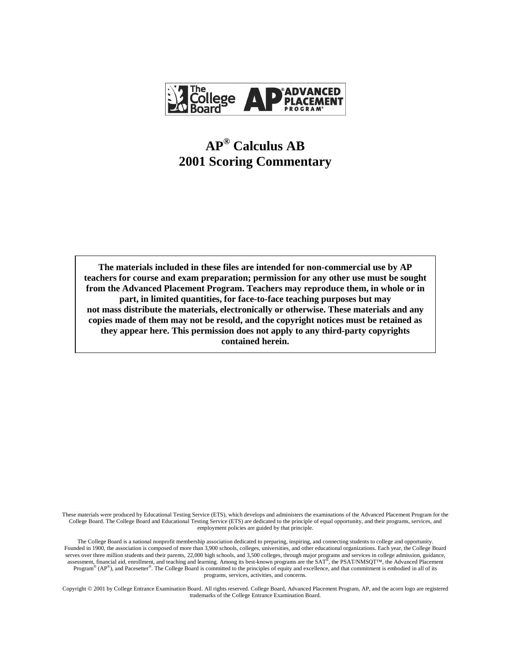

# **AP® Calculus AB 2001 Scoring Commentary**

**The materials included in these files are intended for non-commercial use by AP teachers for course and exam preparation; permission for any other use must be sought from the Advanced Placement Program. Teachers may reproduce them, in whole or in part, in limited quantities, for face-to-face teaching purposes but may not mass distribute the materials, electronically or otherwise. These materials and any copies made of them may not be resold, and the copyright notices must be retained as they appear here. This permission does not apply to any third-party copyrights contained herein.**

These materials were produced by Educational Testing Service (ETS), which develops and administers the examinations of the Advanced Placement Program for the College Board. The College Board and Educational Testing Service (ETS) are dedicated to the principle of equal opportunity, and their programs, services, and employment policies are guided by that principle.

The College Board is a national nonprofit membership association dedicated to preparing, inspiring, and connecting students to college and opportunity. Founded in 1900, the association is composed of more than 3,900 schools, colleges, universities, and other educational organizations. Each year, the College Board serves over three million students and their parents, 22,000 high schools, and 3,500 colleges, through major programs and services in college admission, guidance, assessment, financial aid, enrollment, and teaching and learning. Among its best-known programs are the SAT®, the PSAT/NMSQT™, the Advanced Placement Program<sup>®</sup> (AP<sup>®</sup>), and Pacesetter®. The College Board is committed to the principles of equity and excellence, and that commitment is embodied in all of its programs, services, activities, and concerns.

Copyright © 2001 by College Entrance Examination Board. All rights reserved. College Board, Advanced Placement Program, AP, and the acorn logo are registered trademarks of the College Entrance Examination Board.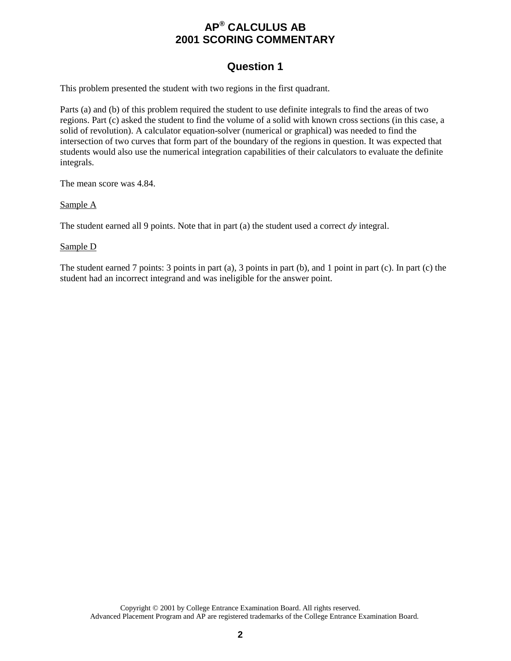### **Question 1**

This problem presented the student with two regions in the first quadrant.

Parts (a) and (b) of this problem required the student to use definite integrals to find the areas of two regions. Part (c) asked the student to find the volume of a solid with known cross sections (in this case, a solid of revolution). A calculator equation-solver (numerical or graphical) was needed to find the intersection of two curves that form part of the boundary of the regions in question. It was expected that students would also use the numerical integration capabilities of their calculators to evaluate the definite integrals.

The mean score was 4.84.

Sample A

The student earned all 9 points. Note that in part (a) the student used a correct *dy* integral.

Sample D

The student earned 7 points: 3 points in part (a), 3 points in part (b), and 1 point in part (c). In part (c) the student had an incorrect integrand and was ineligible for the answer point.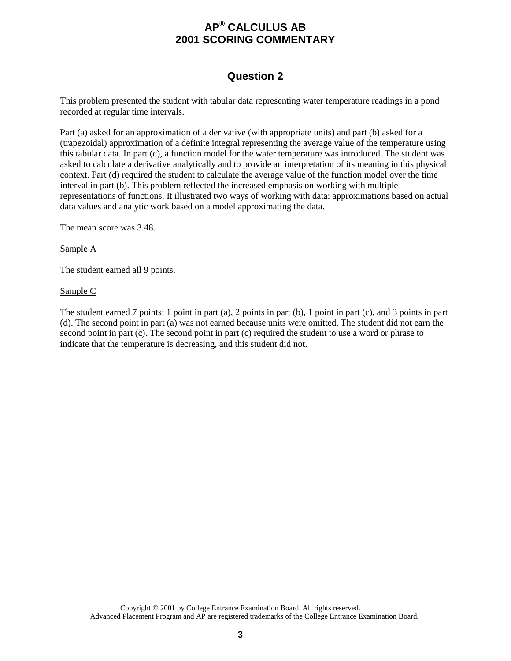### **Question 2**

This problem presented the student with tabular data representing water temperature readings in a pond recorded at regular time intervals.

Part (a) asked for an approximation of a derivative (with appropriate units) and part (b) asked for a (trapezoidal) approximation of a definite integral representing the average value of the temperature using this tabular data. In part (c), a function model for the water temperature was introduced. The student was asked to calculate a derivative analytically and to provide an interpretation of its meaning in this physical context. Part (d) required the student to calculate the average value of the function model over the time interval in part (b). This problem reflected the increased emphasis on working with multiple representations of functions. It illustrated two ways of working with data: approximations based on actual data values and analytic work based on a model approximating the data.

The mean score was 3.48.

#### Sample A

The student earned all 9 points.

#### Sample C

The student earned 7 points: 1 point in part (a), 2 points in part (b), 1 point in part (c), and 3 points in part (d). The second point in part (a) was not earned because units were omitted. The student did not earn the second point in part (c). The second point in part (c) required the student to use a word or phrase to indicate that the temperature is decreasing, and this student did not.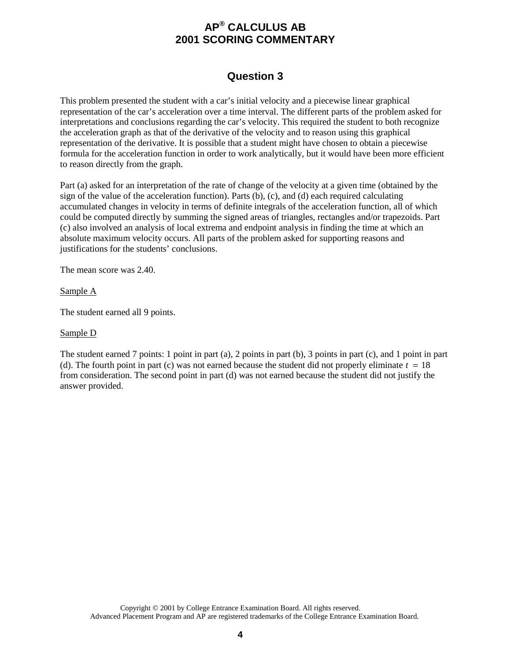### **Question 3**

This problem presented the student with a car's initial velocity and a piecewise linear graphical representation of the car's acceleration over a time interval. The different parts of the problem asked for interpretations and conclusions regarding the car's velocity. This required the student to both recognize the acceleration graph as that of the derivative of the velocity and to reason using this graphical representation of the derivative. It is possible that a student might have chosen to obtain a piecewise formula for the acceleration function in order to work analytically, but it would have been more efficient to reason directly from the graph.

Part (a) asked for an interpretation of the rate of change of the velocity at a given time (obtained by the sign of the value of the acceleration function). Parts (b), (c), and (d) each required calculating accumulated changes in velocity in terms of definite integrals of the acceleration function, all of which could be computed directly by summing the signed areas of triangles, rectangles and/or trapezoids. Part (c) also involved an analysis of local extrema and endpoint analysis in finding the time at which an absolute maximum velocity occurs. All parts of the problem asked for supporting reasons and justifications for the students' conclusions.

The mean score was 2.40.

Sample A

The student earned all 9 points.

#### Sample D

The student earned 7 points: 1 point in part (a), 2 points in part (b), 3 points in part (c), and 1 point in part (d). The fourth point in part (c) was not earned because the student did not properly eliminate  $t = 18$ from consideration. The second point in part (d) was not earned because the student did not justify the answer provided.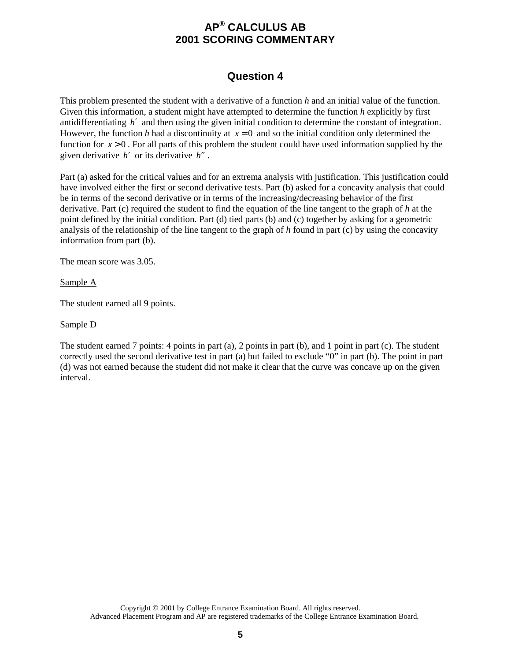### **Question 4**

This problem presented the student with a derivative of a function *h* and an initial value of the function. Given this information, a student might have attempted to determine the function *h* explicitly by first antidifferentiating *h*′ and then using the given initial condition to determine the constant of integration. However, the function *h* had a discontinuity at  $x = 0$  and so the initial condition only determined the function for *x* > 0 . For all parts of this problem the student could have used information supplied by the given derivative *h*′ or its derivative *h*′′ .

Part (a) asked for the critical values and for an extrema analysis with justification. This justification could have involved either the first or second derivative tests. Part (b) asked for a concavity analysis that could be in terms of the second derivative or in terms of the increasing/decreasing behavior of the first derivative. Part (c) required the student to find the equation of the line tangent to the graph of *h* at the point defined by the initial condition. Part (d) tied parts (b) and (c) together by asking for a geometric analysis of the relationship of the line tangent to the graph of *h* found in part (c) by using the concavity information from part (b).

The mean score was 3.05.

Sample A

The student earned all 9 points.

#### Sample D

The student earned 7 points: 4 points in part (a), 2 points in part (b), and 1 point in part (c). The student correctly used the second derivative test in part (a) but failed to exclude "0" in part (b). The point in part (d) was not earned because the student did not make it clear that the curve was concave up on the given interval.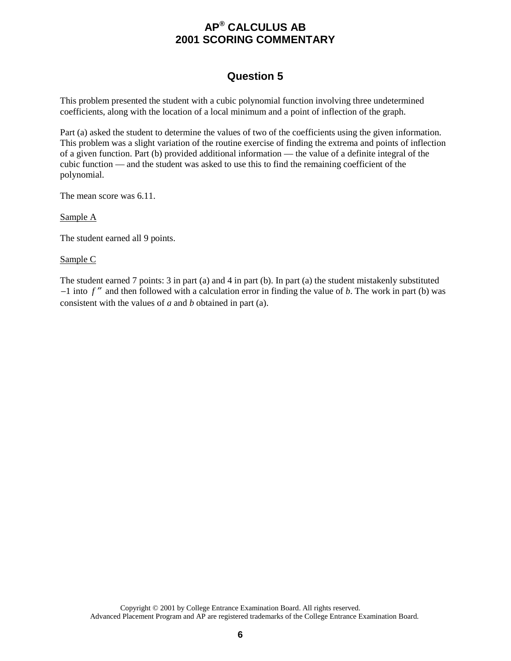### **Question 5**

This problem presented the student with a cubic polynomial function involving three undetermined coefficients, along with the location of a local minimum and a point of inflection of the graph.

Part (a) asked the student to determine the values of two of the coefficients using the given information. This problem was a slight variation of the routine exercise of finding the extrema and points of inflection of a given function. Part (b) provided additional information — the value of a definite integral of the cubic function — and the student was asked to use this to find the remaining coefficient of the polynomial.

The mean score was 6.11.

Sample A

The student earned all 9 points.

Sample C

The student earned 7 points: 3 in part (a) and 4 in part (b). In part (a) the student mistakenly substituted  $-1$  into  $f''$  and then followed with a calculation error in finding the value of *b*. The work in part (b) was consistent with the values of *a* and *b* obtained in part (a).